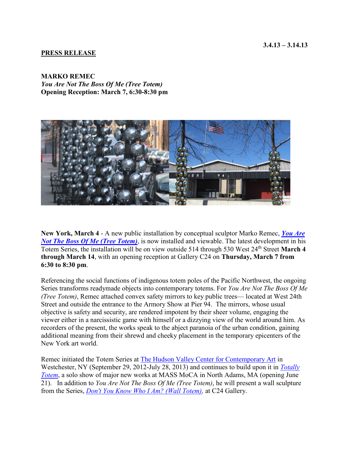**3.4.13 – 3.14.13**

## **PRESS RELEASE**

## **MARKO REMEC**

*You Are Not The Boss Of Me (Tree Totem)* **Opening Reception: March 7, 6:30-8:30 pm**



**New York, March 4** - A new public installation by conceptual sculptor Marko Remec, *[You Are](http://www.markoremec.com/index.php?option=com_k2&view=item&id=37:you-are-not-the-boss-of-me-tree-totem&Itemid=95)  [Not The Boss Of Me \(Tree Totem\)](http://www.markoremec.com/index.php?option=com_k2&view=item&id=37:you-are-not-the-boss-of-me-tree-totem&Itemid=95)*, is now installed and viewable. The latest development in his Totem Series, the installation will be on view outside 514 through 530 West 24th Street **March 4 through March 14**, with an opening reception at Gallery C24 on **Thursday, March 7 from 6:30 to 8:30 pm**.

Referencing the social functions of indigenous totem poles of the Pacific Northwest, the ongoing Series transforms readymade objects into contemporary totems. For *You Are Not The Boss Of Me (Tree Totem)*, Remec attached convex safety mirrors to key public trees— located at West 24th Street and outside the entrance to the Armory Show at Pier 94. The mirrors, whose usual objective is safety and security, are rendered impotent by their sheer volume, engaging the viewer either in a narcissistic game with himself or a dizzying view of the world around him. As recorders of the present, the works speak to the abject paranoia of the urban condition, gaining additional meaning from their shrewd and cheeky placement in the temporary epicenters of the New York art world.

Remec initiated the Totem Series at [The Hudson Valley Center for Contemporary Art](http://www.hvcca.org/peekskill-project-v) in Westchester, NY (September 29, 2012-July 28, 2013) and continues to build upon it in *[Totally](http://www.massmoca.org/event_details.php?id=814)  [Totem](http://www.massmoca.org/event_details.php?id=814)*, a solo show of major new works at MASS MoCA in North Adams, MA (opening June 21). In addition to *You Are Not The Boss Of Me (Tree Totem)*, he will present a wall sculpture from the Series, *[Don't You Know Who I Am? \(Wall Totem\),](http://www.markoremec.com/index.php?option=com_k2&view=item&id=35:dont-you-know-who-i-am?-wall-totem&Itemid=95)* at C24 Gallery.